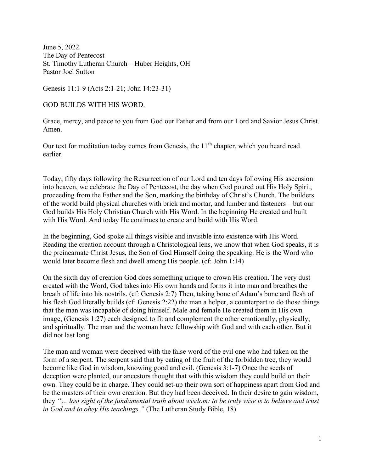June 5, 2022 The Day of Pentecost St. Timothy Lutheran Church – Huber Heights, OH Pastor Joel Sutton

Genesis 11:1-9 (Acts 2:1-21; John 14:23-31)

GOD BUILDS WITH HIS WORD.

Grace, mercy, and peace to you from God our Father and from our Lord and Savior Jesus Christ. Amen.

Our text for meditation today comes from Genesis, the  $11<sup>th</sup>$  chapter, which you heard read earlier.

Today, fifty days following the Resurrection of our Lord and ten days following His ascension into heaven, we celebrate the Day of Pentecost, the day when God poured out His Holy Spirit, proceeding from the Father and the Son, marking the birthday of Christ's Church. The builders of the world build physical churches with brick and mortar, and lumber and fasteners – but our God builds His Holy Christian Church with His Word. In the beginning He created and built with His Word. And today He continues to create and build with His Word.

In the beginning, God spoke all things visible and invisible into existence with His Word. Reading the creation account through a Christological lens, we know that when God speaks, it is the preincarnate Christ Jesus, the Son of God Himself doing the speaking. He is the Word who would later become flesh and dwell among His people. (cf: John 1:14)

On the sixth day of creation God does something unique to crown His creation. The very dust created with the Word, God takes into His own hands and forms it into man and breathes the breath of life into his nostrils. (cf: Genesis 2:7) Then, taking bone of Adam's bone and flesh of his flesh God literally builds (cf: Genesis 2:22) the man a helper, a counterpart to do those things that the man was incapable of doing himself. Male and female He created them in His own image, (Genesis 1:27) each designed to fit and complement the other emotionally, physically, and spiritually. The man and the woman have fellowship with God and with each other. But it did not last long.

The man and woman were deceived with the false word of the evil one who had taken on the form of a serpent. The serpent said that by eating of the fruit of the forbidden tree, they would become like God in wisdom, knowing good and evil. (Genesis 3:1-7) Once the seeds of deception were planted, our ancestors thought that with this wisdom they could build on their own. They could be in charge. They could set-up their own sort of happiness apart from God and be the masters of their own creation. But they had been deceived. In their desire to gain wisdom, they "… lost sight of the fundamental truth about wisdom: to be truly wise is to believe and trust in God and to obey His teachings." (The Lutheran Study Bible, 18)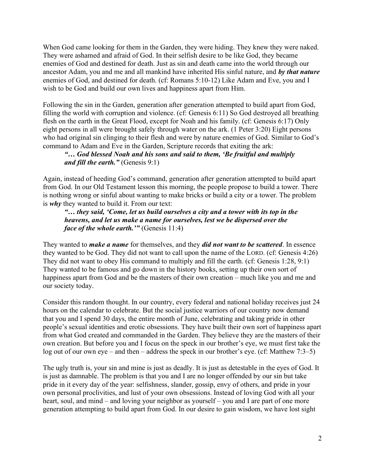When God came looking for them in the Garden, they were hiding. They knew they were naked. They were ashamed and afraid of God. In their selfish desire to be like God, they became enemies of God and destined for death. Just as sin and death came into the world through our ancestor Adam, you and me and all mankind have inherited His sinful nature, and by that nature enemies of God, and destined for death. (cf: Romans 5:10-12) Like Adam and Eve, you and I wish to be God and build our own lives and happiness apart from Him.

Following the sin in the Garden, generation after generation attempted to build apart from God, filling the world with corruption and violence. (cf: Genesis 6:11) So God destroyed all breathing flesh on the earth in the Great Flood, except for Noah and his family. (cf: Genesis 6:17) Only eight persons in all were brought safely through water on the ark. (1 Peter 3:20) Eight persons who had original sin clinging to their flesh and were by nature enemies of God. Similar to God's command to Adam and Eve in the Garden, Scripture records that exiting the ark:

## "… God blessed Noah and his sons and said to them, 'Be fruitful and multiply and fill the earth." (Genesis  $9:1$ )

Again, instead of heeding God's command, generation after generation attempted to build apart from God. In our Old Testament lesson this morning, the people propose to build a tower. There is nothing wrong or sinful about wanting to make bricks or build a city or a tower. The problem is why they wanted to build it. From our text:

"… they said, 'Come, let us build ourselves a city and a tower with its top in the heavens, and let us make a name for ourselves, lest we be dispersed over the *face of the whole earth.*'" (Genesis  $11:4$ )

They wanted to *make a name* for themselves, and they *did not want to be scattered*. In essence they wanted to be God. They did not want to call upon the name of the LORD. (cf: Genesis 4:26) They did not want to obey His command to multiply and fill the earth. (cf: Genesis 1:28, 9:1) They wanted to be famous and go down in the history books, setting up their own sort of happiness apart from God and be the masters of their own creation – much like you and me and our society today.

Consider this random thought. In our country, every federal and national holiday receives just 24 hours on the calendar to celebrate. But the social justice warriors of our country now demand that you and I spend 30 days, the entire month of June, celebrating and taking pride in other people's sexual identities and erotic obsessions. They have built their own sort of happiness apart from what God created and commanded in the Garden. They believe they are the masters of their own creation. But before you and I focus on the speck in our brother's eye, we must first take the log out of our own eye – and then – address the speck in our brother's eye. (cf: Matthew 7:3–5)

The ugly truth is, your sin and mine is just as deadly. It is just as detestable in the eyes of God. It is just as damnable. The problem is that you and I are no longer offended by our sin but take pride in it every day of the year: selfishness, slander, gossip, envy of others, and pride in your own personal proclivities, and lust of your own obsessions. Instead of loving God with all your heart, soul, and mind – and loving your neighbor as yourself – you and I are part of one more generation attempting to build apart from God. In our desire to gain wisdom, we have lost sight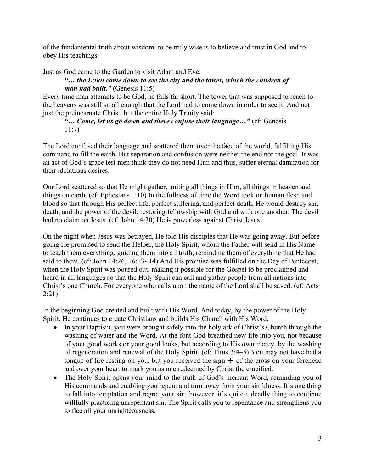of the fundamental truth about wisdom: to be truly wise is to believe and trust in God and to obey His teachings.

Just as God came to the Garden to visit Adam and Eve:

## "… the LORD came down to see the city and the tower, which the children of man had built." (Genesis  $11:5$ )

Every time man attempts to be God, he falls far short. The tower that was supposed to reach to the heavens was still small enough that the Lord had to come down in order to see it. And not just the preincarnate Christ, but the entire Holy Trinity said:

"... Come, let us go down and there confuse their language..." (cf: Genesis 11:7)

The Lord confused their language and scattered them over the face of the world, fulfilling His command to fill the earth. But separation and confusion were neither the end nor the goal. It was an act of God's grace lest men think they do not need Him and thus, suffer eternal damnation for their idolatrous desires.

Our Lord scattered so that He might gather, uniting all things in Him, all things in heaven and things on earth. (cf: Ephesians 1:10) In the fullness of time the Word took on human flesh and blood so that through His perfect life, perfect suffering, and perfect death, He would destroy sin, death, and the power of the devil, restoring fellowship with God and with one another. The devil had no claim on Jesus. (cf: John 14:30) He is powerless against Christ Jesus.

On the night when Jesus was betrayed, He told His disciples that He was going away. But before going He promised to send the Helper, the Holy Spirit, whom the Father will send in His Name to teach them everything, guiding them into all truth, reminding them of everything that He had said to them. (cf: John 14:26, 16:13- 14) And His promise was fulfilled on the Day of Pentecost, when the Holy Spirit was poured out, making it possible for the Gospel to be proclaimed and heard in all languages so that the Holy Spirit can call and gather people from all nations into Christ's one Church. For everyone who calls upon the name of the Lord shall be saved. (cf: Acts 2:21)

In the beginning God created and built with His Word. And today, by the power of the Holy Spirit, He continues to create Christians and builds His Church with His Word.

- In your Baptism, you were brought safely into the holy ark of Christ's Church through the washing of water and the Word. At the font God breathed new life into you, not because of your good works or your good looks, but according to His own mercy, by the washing of regeneration and renewal of the Holy Spirit. (cf: Titus 3:4–5) You may not have had a tongue of fire resting on you, but you received the sign  $\pm$  of the cross on your forehead and over your heart to mark you as one redeemed by Christ the crucified.
- The Holy Spirit opens your mind to the truth of God's inerrant Word, reminding you of His commands and enabling you repent and turn away from your sinfulness. It's one thing to fall into temptation and regret your sin; however, it's quite a deadly thing to continue willfully practicing unrepentant sin. The Spirit calls you to repentance and strengthens you to flee all your unrighteousness.